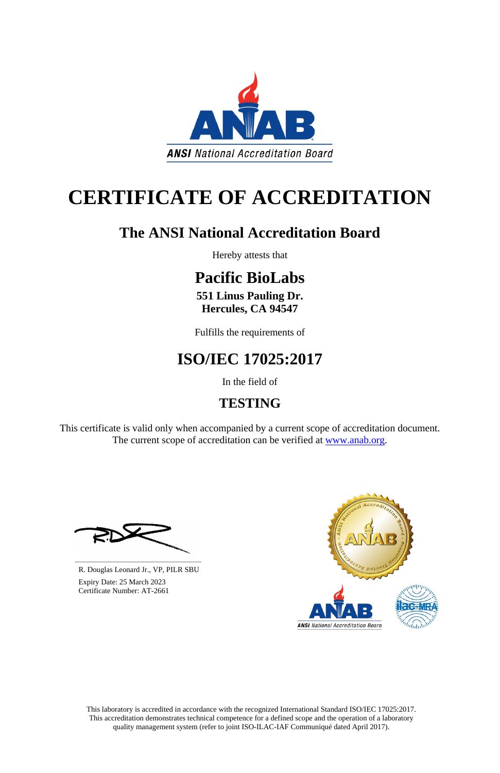This laboratory is accredited in accordance with the recognized International Standard ISO/IEC 17025:2017. This accreditation demonstrates technical competence for a defined scope and the operation of a laboratory quality management system (refer to joint ISO-ILAC-IAF Communiqué dated April 2017).

This certificate is valid only when accompanied by a current scope of accreditation document. The current scope of accreditation can be verified at [www.anab.org.](http://www.anab.org/)



# **CERTIFICATE OF ACCREDITATION**

# **The ANSI National Accreditation Board**

Hereby attests that

# **Pacific BioLabs**

**551 Linus Pauling Dr. Hercules, CA 94547**

Fulfills the requirements of

# **ISO/IEC 17025:2017**

In the field of

# **TESTING**





R. Douglas Leonard Jr., VP, PILR SBU

 Expiry Date: 25 March 2023 Certificate Number: AT-2661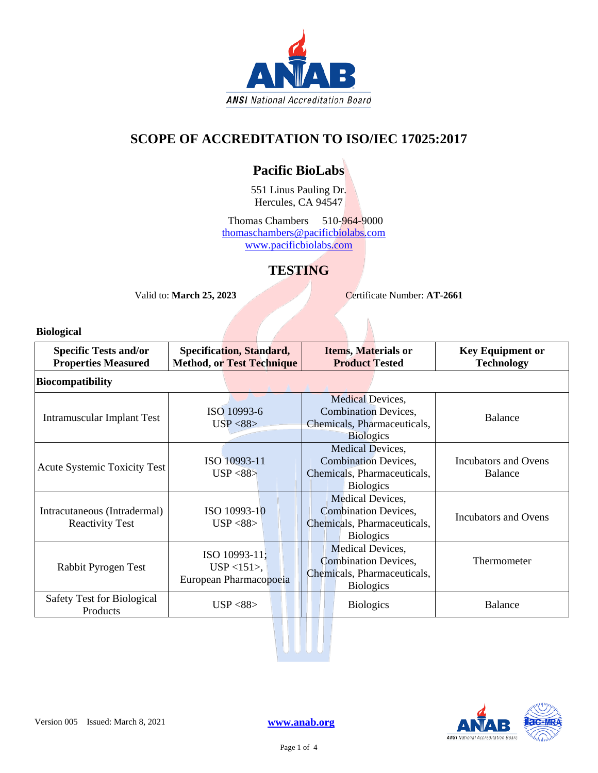

### **SCOPE OF ACCREDITATION TO ISO/IEC 17025:2017**

### **Pacific BioLabs**

551 Linus Pauling Dr. Hercules, CA 94547

Thomas Chambers 510-964-9000 [thomaschambers@pacificbiolabs.com](mailto:thomaschambers@pacificbiolabs.com) [www.pacificbiolabs.com](http://www.pacificbiolabs.com/)

### **TESTING**

Valid to: **March 25, 2023** Certificate Number: **AT-2661** 

**Biological**

| <b>Specific Tests and/or</b><br><b>Properties Measured</b> | <b>Specification, Standard,</b><br><b>Method, or Test Technique</b> | <b>Items, Materials or</b><br><b>Product Tested</b>                                                | <b>Key Equipment or</b><br><b>Technology</b> |
|------------------------------------------------------------|---------------------------------------------------------------------|----------------------------------------------------------------------------------------------------|----------------------------------------------|
| <b>Biocompatibility</b>                                    |                                                                     |                                                                                                    |                                              |
| Intramuscular Implant Test                                 | ISO 10993-6<br>USP < 88                                             | Medical Devices,<br><b>Combination Devices,</b><br>Chemicals, Pharmaceuticals,<br><b>Biologics</b> | <b>Balance</b>                               |
| <b>Acute Systemic Toxicity Test</b>                        | ISO 10993-11<br>USP < 88                                            | Medical Devices,<br><b>Combination Devices,</b><br>Chemicals, Pharmaceuticals,<br><b>Biologics</b> | Incubators and Ovens<br>Balance              |
| Intracutaneous (Intradermal)<br><b>Reactivity Test</b>     | ISO 10993-10<br>USP < 88                                            | Medical Devices,<br><b>Combination Devices,</b><br>Chemicals, Pharmaceuticals,<br><b>Biologics</b> | <b>Incubators and Ovens</b>                  |
| Rabbit Pyrogen Test                                        | ISO 10993-11;<br>$USP < 151$ ,<br>European Pharmacopoeia            | Medical Devices,<br><b>Combination Devices,</b><br>Chemicals, Pharmaceuticals,<br><b>Biologics</b> | Thermometer                                  |
| <b>Safety Test for Biological</b><br>Products              | USP < 88                                                            | <b>Biologics</b>                                                                                   | <b>Balance</b>                               |
|                                                            |                                                                     |                                                                                                    |                                              |

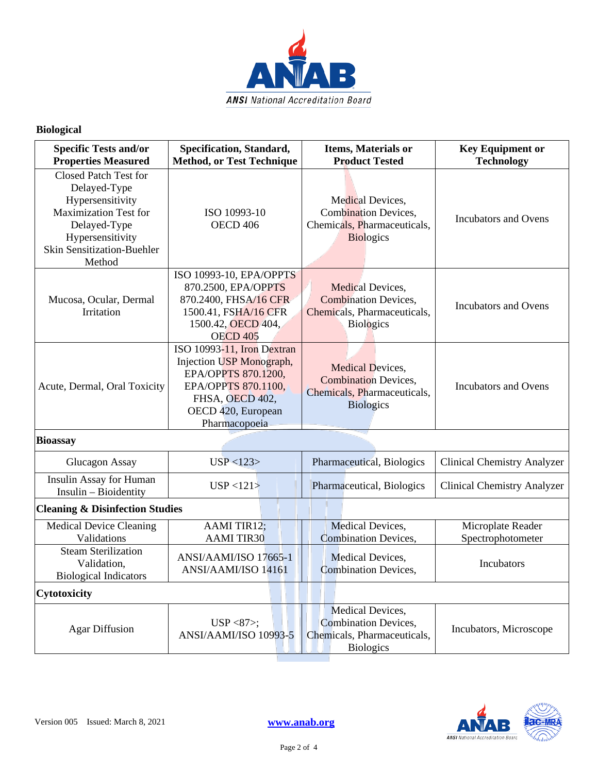

### **Biological**

| <b>Specific Tests and/or</b><br><b>Properties Measured</b>                                                                                                                   | Specification, Standard,<br><b>Method, or Test Technique</b>                                                                                                   | <b>Items, Materials or</b><br><b>Product Tested</b>                                                       | <b>Key Equipment or</b><br><b>Technology</b> |
|------------------------------------------------------------------------------------------------------------------------------------------------------------------------------|----------------------------------------------------------------------------------------------------------------------------------------------------------------|-----------------------------------------------------------------------------------------------------------|----------------------------------------------|
| <b>Closed Patch Test for</b><br>Delayed-Type<br>Hypersensitivity<br><b>Maximization Test for</b><br>Delayed-Type<br>Hypersensitivity<br>Skin Sensitization-Buehler<br>Method | ISO 10993-10<br>OECD <sub>406</sub>                                                                                                                            | Medical Devices,<br><b>Combination Devices,</b><br>Chemicals, Pharmaceuticals,<br><b>Biologics</b>        | <b>Incubators and Ovens</b>                  |
| Mucosa, Ocular, Dermal<br>Irritation                                                                                                                                         | ISO 10993-10, EPA/OPPTS<br>870.2500, EPA/OPPTS<br>870.2400, FHSA/16 CFR<br>1500.41, FSHA/16 CFR<br>1500.42, OECD 404,<br><b>OECD 405</b>                       | Medical Devices,<br><b>Combination Devices,</b><br>Chemicals, Pharmaceuticals,<br><b>Biologics</b>        | <b>Incubators and Ovens</b>                  |
| Acute, Dermal, Oral Toxicity                                                                                                                                                 | ISO 10993-11, Iron Dextran<br>Injection USP Monograph,<br>EPA/OPPTS 870.1200,<br>EPA/OPPTS 870.1100,<br>FHSA, OECD 402,<br>OECD 420, European<br>Pharmacopoeia | <b>Medical Devices,</b><br><b>Combination Devices,</b><br>Chemicals, Pharmaceuticals,<br><b>Biologics</b> | <b>Incubators and Ovens</b>                  |
| <b>Bioassay</b>                                                                                                                                                              |                                                                                                                                                                |                                                                                                           |                                              |
| Glucagon Assay                                                                                                                                                               | USP < 123                                                                                                                                                      | Pharmaceutical, Biologics                                                                                 | <b>Clinical Chemistry Analyzer</b>           |
| Insulin Assay for Human<br>Insulin - Bioidentity                                                                                                                             | USP < 121                                                                                                                                                      | Pharmaceutical, Biologics                                                                                 | <b>Clinical Chemistry Analyzer</b>           |
| <b>Cleaning &amp; Disinfection Studies</b>                                                                                                                                   |                                                                                                                                                                |                                                                                                           |                                              |
| <b>Medical Device Cleaning</b><br>Validations                                                                                                                                | AAMI TIR12;<br><b>AAMI TIR30</b>                                                                                                                               | Medical Devices,<br><b>Combination Devices,</b>                                                           | Microplate Reader<br>Spectrophotometer       |
| <b>Steam Sterilization</b><br>Validation,<br><b>Biological Indicators</b>                                                                                                    | ANSI/AAMI/ISO 17665-1<br>ANSI/AAMI/ISO 14161                                                                                                                   | <b>Medical Devices,</b><br><b>Combination Devices,</b>                                                    | Incubators                                   |
| Cytotoxicity                                                                                                                                                                 |                                                                                                                                                                |                                                                                                           |                                              |
| <b>Agar Diffusion</b>                                                                                                                                                        | USP $<87$ ;<br>ANSI/AAMI/ISO 10993-5                                                                                                                           | Medical Devices,<br><b>Combination Devices,</b><br>Chemicals, Pharmaceuticals,<br><b>Biologics</b>        | Incubators, Microscope                       |

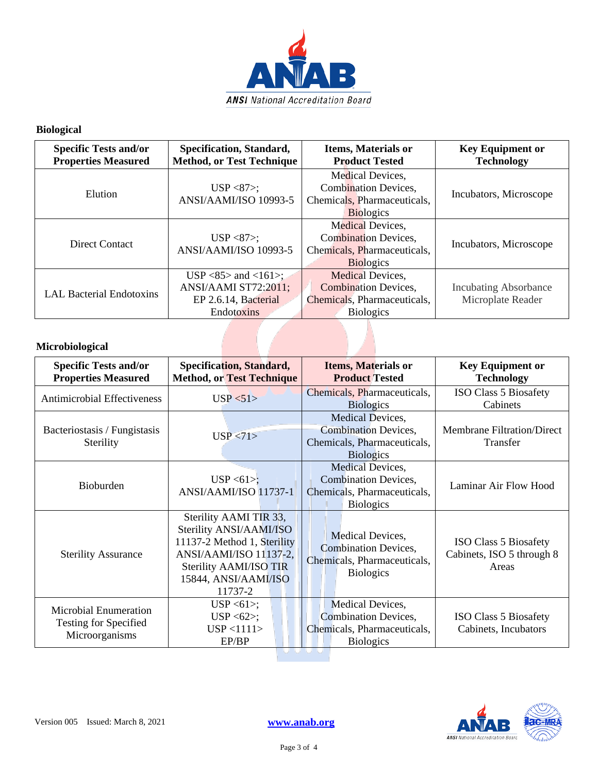

### **Biological**

| <b>Specific Tests and/or</b><br><b>Properties Measured</b> | Specification, Standard,<br><b>Method, or Test Technique</b>                          | <b>Items, Materials or</b><br><b>Product Tested</b>                                                       | <b>Key Equipment or</b><br><b>Technology</b>      |
|------------------------------------------------------------|---------------------------------------------------------------------------------------|-----------------------------------------------------------------------------------------------------------|---------------------------------------------------|
| Elution                                                    | $USP < 87$ ;<br>ANSI/AAMI/ISO 10993-5                                                 | Medical Devices,<br><b>Combination Devices,</b><br>Chemicals, Pharmaceuticals,<br><b>Biologics</b>        | Incubators, Microscope                            |
| <b>Direct Contact</b>                                      | $USP < 87$ ;<br>ANSI/AAMI/ISO 10993-5                                                 | <b>Medical Devices,</b><br><b>Combination Devices,</b><br>Chemicals, Pharmaceuticals,<br><b>Biologics</b> | Incubators, Microscope                            |
| <b>LAL Bacterial Endotoxins</b>                            | $USP < 85$ and $<161$ ;<br>ANSI/AAMI ST72:2011;<br>EP 2.6.14, Bacterial<br>Endotoxins | Medical Devices,<br><b>Combination Devices,</b><br>Chemicals, Pharmaceuticals,<br><b>Biologics</b>        | <b>Incubating Absorbance</b><br>Microplate Reader |
| Microbiological                                            |                                                                                       |                                                                                                           |                                                   |

### **Microbiological**

| <b>Specific Tests and/or</b><br><b>Properties Measured</b>                     | <b>Specification, Standard,</b><br><b>Method, or Test Technique</b>                                                                                                     | <b>Items, Materials or</b><br><b>Product Tested</b>                                                           | <b>Key Equipment or</b><br><b>Technology</b>                       |
|--------------------------------------------------------------------------------|-------------------------------------------------------------------------------------------------------------------------------------------------------------------------|---------------------------------------------------------------------------------------------------------------|--------------------------------------------------------------------|
| <b>Antimicrobial Effectiveness</b>                                             | USP < 51                                                                                                                                                                | Chemicals, Pharmaceuticals,<br><b>Biologics</b>                                                               | ISO Class 5 Biosafety<br>Cabinets                                  |
| Bacteriostasis / Fungistasis<br>Sterility                                      | USP < 71                                                                                                                                                                | Medical Devices,<br><b>Combination Devices,</b><br>Chemicals, Pharmaceuticals,<br><b>Biologics</b>            | <b>Membrane Filtration/Direct</b><br>Transfer                      |
| Bioburden                                                                      | $USP < 61$ ;<br>ANSI/AAMI/ISO 11737-1                                                                                                                                   | Medical Devices,<br><b>Combination Devices,</b><br>Chemicals, Pharmaceuticals,<br><b>Biologics</b>            | Laminar Air Flow Hood                                              |
| <b>Sterility Assurance</b>                                                     | Sterility AAMI TIR 33,<br>Sterility ANSI/AAMI/ISO<br>11137-2 Method 1, Sterility<br>ANSI/AAMI/ISO 11137-2,<br>Sterility AAMI/ISO TIR<br>15844, ANSI/AAMI/ISO<br>11737-2 | Medical Devices,<br><b>Combination Devices,</b><br>Chemicals, Pharmaceuticals,<br><b>Biologics</b>            | <b>ISO Class 5 Biosafety</b><br>Cabinets, ISO 5 through 8<br>Areas |
| <b>Microbial Enumeration</b><br><b>Testing for Specified</b><br>Microorganisms | USP $\langle 61 \rangle$ ;<br>$USP < 62$ ;<br>USP < 1111<br>EP/BP                                                                                                       | Medical Devices,<br><b>Combination Devices,</b><br>Chemicals, Pharmaceuticals,<br><b>Biologics</b><br>UU UU U | ISO Class 5 Biosafety<br>Cabinets, Incubators                      |